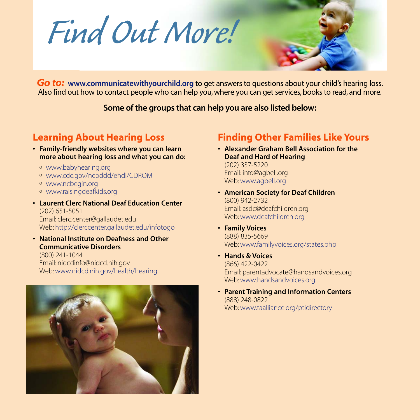*Find Out More!*



*Go to:* **www.communicatewithyourchild.org** to get answers to questions about your child's hearing loss. Also find out how to contact people who can help you, where you can get services, books to read, and more.

**Some of the groups that can help you are also listed below:**

# **Learning About Hearing Loss**

- **Family-friendly websites where you can learn more about hearing loss and what you can do:**
	- <sup>o</sup> www.babyhearing.org
	- <sup>o</sup> www.cdc.gov/ncbddd/ehdi/CDROM
	- <sup>o</sup> www.ncbegin.org
	- <sup>o</sup> www.raisingdeafkids.org

**• Laurent Clerc National Deaf Education Center** (202) 651-5051 Email: clerc.center@gallaudet.edu Web: http://clerccenter.gallaudet.edu/infotogo

**• National Institute on Deafness and Other Communicative Disorders** (800) 241-1044 Email: nidcdinfo@nidcd.nih.gov Web: www.nidcd.nih.gov/health/hearing



## **Finding Other Families Like Yours**

- **Alexander Graham Bell Association for the Deaf and Hard of Hearing** (202) 337-5220 Email: info@agbell.org Web: www.agbell.org
- **• American Society for Deaf Children** (800) 942-2732 Email: asdc@deafchildren.org Web: www.deafchildren.org
- **Family Voices** (888) 835-5669 Web: www.familyvoices.org/states.php
- **• Hands & Voices** (866) 422-0422 Email: parentadvocate@handsandvoices.org Web: www.handsandvoices.org
- **• Parent Training and Information Centers** (888) 248-0822 Web: www.taalliance.org/ptidirectory